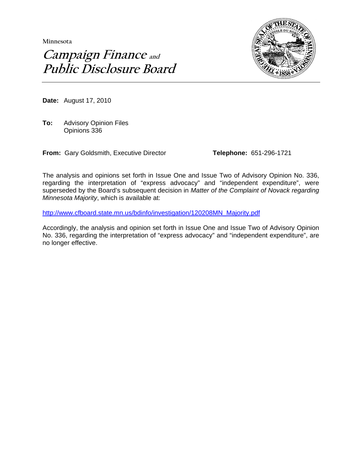**Minnesota** 





**Date:** August 17, 2010

**To:** Advisory Opinion Files Opinions 336

**From:** Gary Goldsmith, Executive Director **Telephone:** 651-296-1721

The analysis and opinions set forth in Issue One and Issue Two of Advisory Opinion No. 336, regarding the interpretation of "express advocacy" and "independent expenditure", were superseded by the Board's subsequent decision in *Matter of the Complaint of Novack regarding Minnesota Majority*, which is available at:

http://www.cfboard.state.mn.us/bdinfo/investigation/120208MN\_Majority.pdf

Accordingly, the analysis and opinion set forth in Issue One and Issue Two of Advisory Opinion No. 336, regarding the interpretation of "express advocacy" and "independent expenditure", are no longer effective.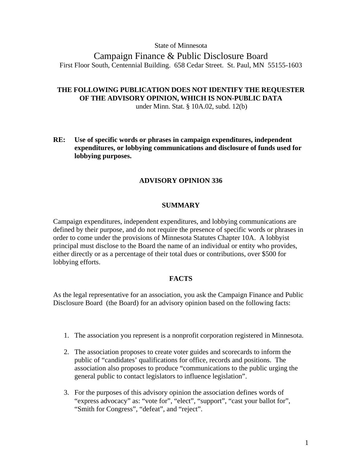## State of Minnesota

Campaign Finance & Public Disclosure Board First Floor South, Centennial Building. 658 Cedar Street. St. Paul, MN 55155-1603

# **THE FOLLOWING PUBLICATION DOES NOT IDENTIFY THE REQUESTER OF THE ADVISORY OPINION, WHICH IS NON-PUBLIC DATA**

under Minn. Stat. § 10A.02, subd. 12(b)

**RE: Use of specific words or phrases in campaign expenditures, independent expenditures, or lobbying communications and disclosure of funds used for lobbying purposes.**

# **ADVISORY OPINION 336**

### **SUMMARY**

Campaign expenditures, independent expenditures, and lobbying communications are defined by their purpose, and do not require the presence of specific words or phrases in order to come under the provisions of Minnesota Statutes Chapter 10A. A lobbyist principal must disclose to the Board the name of an individual or entity who provides, either directly or as a percentage of their total dues or contributions, over \$500 for lobbying efforts.

### **FACTS**

As the legal representative for an association, you ask the Campaign Finance and Public Disclosure Board (the Board) for an advisory opinion based on the following facts:

- 1. The association you represent is a nonprofit corporation registered in Minnesota.
- 2. The association proposes to create voter guides and scorecards to inform the public of "candidates' qualifications for office, records and positions. The association also proposes to produce "communications to the public urging the general public to contact legislators to influence legislation".
- 3. For the purposes of this advisory opinion the association defines words of "express advocacy" as: "vote for", "elect", "support", "cast your ballot for", "Smith for Congress", "defeat", and "reject".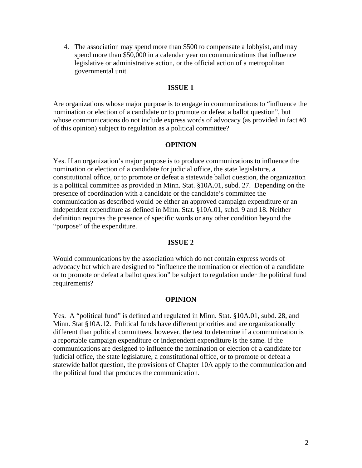4. The association may spend more than \$500 to compensate a lobbyist, and may spend more than \$50,000 in a calendar year on communications that influence legislative or administrative action, or the official action of a metropolitan governmental unit.

### **ISSUE 1**

Are organizations whose major purpose is to engage in communications to "influence the nomination or election of a candidate or to promote or defeat a ballot question", but whose communications do not include express words of advocacy (as provided in fact #3 of this opinion) subject to regulation as a political committee?

## **OPINION**

Yes. If an organization's major purpose is to produce communications to influence the nomination or election of a candidate for judicial office, the state legislature, a constitutional office, or to promote or defeat a statewide ballot question, the organization is a political committee as provided in Minn. Stat. §10A.01, subd. 27. Depending on the presence of coordination with a candidate or the candidate's committee the communication as described would be either an approved campaign expenditure or an independent expenditure as defined in Minn. Stat. §10A.01, subd. 9 and 18. Neither definition requires the presence of specific words or any other condition beyond the "purpose" of the expenditure.

#### **ISSUE 2**

Would communications by the association which do not contain express words of advocacy but which are designed to "influence the nomination or election of a candidate or to promote or defeat a ballot question" be subject to regulation under the political fund requirements?

#### **OPINION**

Yes. A "political fund" is defined and regulated in Minn. Stat. §10A.01, subd. 28, and Minn. Stat §10A.12. Political funds have different priorities and are organizationally different than political committees, however, the test to determine if a communication is a reportable campaign expenditure or independent expenditure is the same. If the communications are designed to influence the nomination or election of a candidate for judicial office, the state legislature, a constitutional office, or to promote or defeat a statewide ballot question, the provisions of Chapter 10A apply to the communication and the political fund that produces the communication.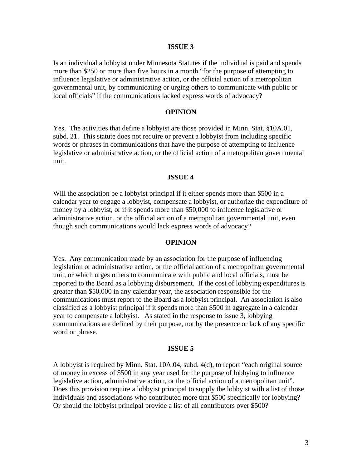#### **ISSUE 3**

Is an individual a lobbyist under Minnesota Statutes if the individual is paid and spends more than \$250 or more than five hours in a month "for the purpose of attempting to influence legislative or administrative action, or the official action of a metropolitan governmental unit, by communicating or urging others to communicate with public or local officials" if the communications lacked express words of advocacy?

### **OPINION**

Yes. The activities that define a lobbyist are those provided in Minn. Stat. §10A.01, subd. 21. This statute does not require or prevent a lobbyist from including specific words or phrases in communications that have the purpose of attempting to influence legislative or administrative action, or the official action of a metropolitan governmental unit.

#### **ISSUE 4**

Will the association be a lobbyist principal if it either spends more than \$500 in a calendar year to engage a lobbyist, compensate a lobbyist, or authorize the expenditure of money by a lobbyist, or if it spends more than \$50,000 to influence legislative or administrative action, or the official action of a metropolitan governmental unit, even though such communications would lack express words of advocacy?

#### **OPINION**

Yes. Any communication made by an association for the purpose of influencing legislation or administrative action, or the official action of a metropolitan governmental unit, or which urges others to communicate with public and local officials, must be reported to the Board as a lobbying disbursement. If the cost of lobbying expenditures is greater than \$50,000 in any calendar year, the association responsible for the communications must report to the Board as a lobbyist principal. An association is also classified as a lobbyist principal if it spends more than \$500 in aggregate in a calendar year to compensate a lobbyist. As stated in the response to issue 3, lobbying communications are defined by their purpose, not by the presence or lack of any specific word or phrase.

#### **ISSUE 5**

A lobbyist is required by Minn. Stat. 10A.04, subd. 4(d), to report "each original source of money in excess of \$500 in any year used for the purpose of lobbying to influence legislative action, administrative action, or the official action of a metropolitan unit". Does this provision require a lobbyist principal to supply the lobbyist with a list of those individuals and associations who contributed more that \$500 specifically for lobbying? Or should the lobbyist principal provide a list of all contributors over \$500?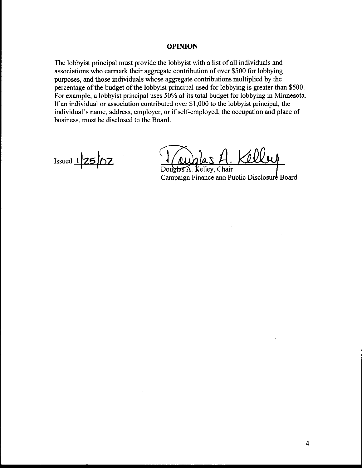### **OPINION**

The lobbyist principal must provide the lobbyist with a list of all individuals and associations who earmark their aggregate contribution of over \$500 for lobbying purposes, and those individuals whose aggregate contributions multiplied by the percentage of the budget of the lobbyist principal used for lobbying is greater than \$500. For example, a lobbyist principal uses 50% of its total budget for lobbying in Minnesota. If an individual or association contributed over \$1,000 to the lobbyist principal, the individual's name, address, employer, or if self-employed, the occupation and place of business. must be disclosed to the Board.

 $I$  Issued  $\frac{1}{25}$   $\sqrt{27}$ 

600a

Douglas A. Kelley, Chair Campaign Finance and Public Disclosure Board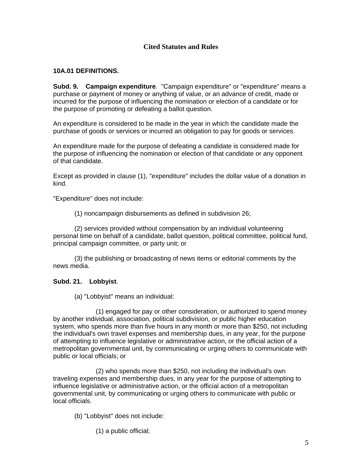# **Cited Statutes and Rules**

# **10A.01 DEFINITIONS.**

**Subd. 9. Campaign expenditure**. "Campaign expenditure" or "expenditure" means a purchase or payment of money or anything of value, or an advance of credit, made or incurred for the purpose of influencing the nomination or election of a candidate or for the purpose of promoting or defeating a ballot question.

An expenditure is considered to be made in the year in which the candidate made the purchase of goods or services or incurred an obligation to pay for goods or services.

An expenditure made for the purpose of defeating a candidate is considered made for the purpose of influencing the nomination or election of that candidate or any opponent of that candidate.

Except as provided in clause (1), "expenditure" includes the dollar value of a donation in kind.

"Expenditure" does not include:

(1) noncampaign disbursements as defined in subdivision 26;

 (2) services provided without compensation by an individual volunteering personal time on behalf of a candidate, ballot question, political committee, political fund, principal campaign committee, or party unit; or

 (3) the publishing or broadcasting of news items or editorial comments by the news media.

# **Subd. 21. Lobbyist**.

(a) "Lobbyist" means an individual:

 (1) engaged for pay or other consideration, or authorized to spend money by another individual, association, political subdivision, or public higher education system, who spends more than five hours in any month or more than \$250, not including the individual's own travel expenses and membership dues, in any year, for the purpose of attempting to influence legislative or administrative action, or the official action of a metropolitan governmental unit, by communicating or urging others to communicate with public or local officials; or

 (2) who spends more than \$250, not including the individual's own traveling expenses and membership dues, in any year for the purpose of attempting to influence legislative or administrative action, or the official action of a metropolitan governmental unit, by communicating or urging others to communicate with public or local officials.

(b) "Lobbyist" does not include:

(1) a public official;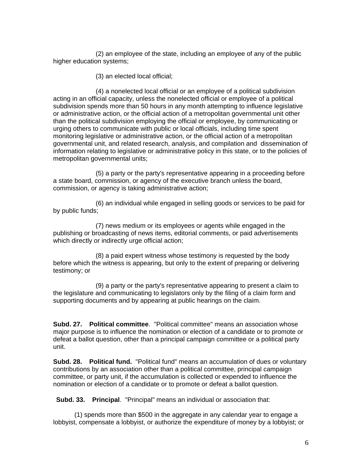(2) an employee of the state, including an employee of any of the public higher education systems;

(3) an elected local official;

 (4) a nonelected local official or an employee of a political subdivision acting in an official capacity, unless the nonelected official or employee of a political subdivision spends more than 50 hours in any month attempting to influence legislative or administrative action, or the official action of a metropolitan governmental unit other than the political subdivision employing the official or employee, by communicating or urging others to communicate with public or local officials, including time spent monitoring legislative or administrative action, or the official action of a metropolitan governmental unit, and related research, analysis, and compilation and dissemination of information relating to legislative or administrative policy in this state, or to the policies of metropolitan governmental units;

 (5) a party or the party's representative appearing in a proceeding before a state board, commission, or agency of the executive branch unless the board, commission, or agency is taking administrative action;

 (6) an individual while engaged in selling goods or services to be paid for by public funds;

 (7) news medium or its employees or agents while engaged in the publishing or broadcasting of news items, editorial comments, or paid advertisements which directly or indirectly urge official action;

 (8) a paid expert witness whose testimony is requested by the body before which the witness is appearing, but only to the extent of preparing or delivering testimony; or

 (9) a party or the party's representative appearing to present a claim to the legislature and communicating to legislators only by the filing of a claim form and supporting documents and by appearing at public hearings on the claim.

**Subd. 27. Political committee**. "Political committee" means an association whose major purpose is to influence the nomination or election of a candidate or to promote or defeat a ballot question, other than a principal campaign committee or a political party unit.

**Subd. 28. Political fund.** "Political fund" means an accumulation of dues or voluntary contributions by an association other than a political committee, principal campaign committee, or party unit, if the accumulation is collected or expended to influence the nomination or election of a candidate or to promote or defeat a ballot question.

 **Subd. 33. Principal**. "Principal" means an individual or association that:

 (1) spends more than \$500 in the aggregate in any calendar year to engage a lobbyist, compensate a lobbyist, or authorize the expenditure of money by a lobbyist; or